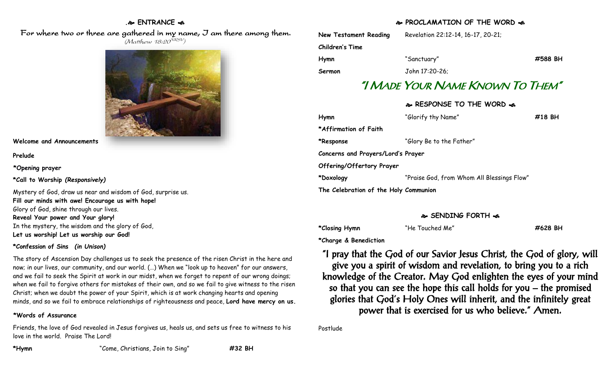### **. ENTRANCE**

 For where two or three are gathered in my name, I am there among them. (Matthew 18:20<sup>NRSV</sup>)



**Welcome and Announcements**

**Prelude**

**\*Opening prayer**

**\*Call to Worship** *(Responsively)*

Mystery of God, draw us near and wisdom of God, surprise us. **Fill our minds with awe! Encourage us with hope!** Glory of God, shine through our lives. **Reveal Your power and Your glory!** In the mystery, the wisdom and the glory of God, **Let us worship! Let us worship our God!**

#### **\*Confession of Sins** *(in Unison)*

The story of Ascension Day challenges us to seek the presence of the risen Christ in the here and now; in our lives, our community, and our world. (…) When we "look up to heaven" for our answers, and we fail to seek the Spirit at work in our midst, when we forget to repent of our wrong doings; when we fail to forgive others for mistakes of their own, and so we fail to give witness to the risen Christ; when we doubt the power of your Spirit, which is at work changing hearts and opening minds, and so we fail to embrace relationships of righteousness and peace, **Lord have mercy on us.**

### **\*Words of Assurance**

Friends, the love of God revealed in Jesus forgives us, heals us, and sets us free to witness to his love in the world. Praise The Lord!

## **PROCLAMATION OF THE WORD**

| <b>New Testament Reading</b> | Revelation 22:12-14, 16-17, 20-21;      |         |
|------------------------------|-----------------------------------------|---------|
| Children's Time              |                                         |         |
| Hymn                         | "Sanctuary"                             | #588 BH |
| Sermon                       | John 17:20-26:                          |         |
|                              | "I Made Your Name Known To Them"        |         |
|                              | <b>&amp; RESPONSE TO THE WORD &amp;</b> |         |
| Hymn                         | "Glorify thy Name"                      | #18 BH  |
| *Affirmation of Faith        |                                         |         |
| *Response                    | "Glory Be to the Father"                |         |

**\*Doxology** "Praise God, from Whom All Blessings Flow"

#### **SENDING FORTH**

**\*Closing Hymn** "He Touched Me" **#628 BH**

**\*Charge & Benediction**

**Concerns and Prayers/Lord's Prayer**

**The Celebration of the Holy Communion**

**Offering/Offertory Prayer**

"I pray that the God of our Savior Jesus Christ, the God of glory, will give you a spirit of wisdom and revelation, to bring you to a rich knowledge of the Creator. May God enlighten the eyes of your mind so that you can see the hope this call holds for you – the promised glories that God's Holy Ones will inherit, and the infinitely great power that is exercised for us who believe." Amen.

Postlude